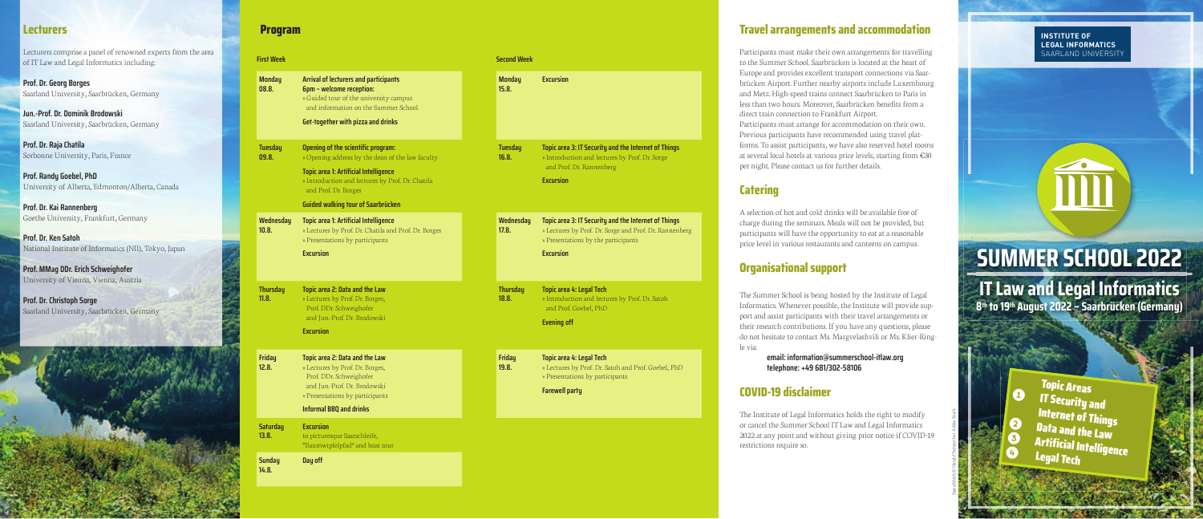# **Program**

Saarschleife © Harald Tedesco bei Adobe Stock

# **SUMMER SCHOOL 2022 IT Law and Legal Informatics**

**8th to 19th August 2022 – Saarbrücken (Germany)**

#### **INSTITUTE OF LEGAL INFORMATICS** SAARLAND UNIVERSITY

**Excursion**

**Topic area 3: IT Security and the Internet of Things** » Introduction and lectures by Prof. Dr. Sorge

| <b>First Week</b>        |                                                                                                                                                                                                                                                                        | <b>Second Week</b>       |
|--------------------------|------------------------------------------------------------------------------------------------------------------------------------------------------------------------------------------------------------------------------------------------------------------------|--------------------------|
| <b>Monday</b><br>08.8.   | Arrival of lecturers and participants<br><b>6pm - welcome reception:</b><br>» Guided tour of the university campus<br>and information on the Summer School.<br>Get-together with pizza and drinks                                                                      | <b>Monday</b><br>15.8.   |
| <b>Tuesday</b><br>09.8.  | <b>Opening of the scientific program:</b><br>» Opening address by the dean of the law faculty<br><b>Topic area 1: Artificial Intelligence</b><br>» Introduction and lectures by Prof. Dr. Chatila<br>and Prof. Dr. Borges<br><b>Guided walking tour of Saarbrücken</b> | <b>Tuesday</b><br>16.8.  |
| Wednesday<br>10.8.       | <b>Topic area 1: Artificial Intelligence</b><br>» Lectures by Prof. Dr. Chatila and Prof. Dr. Borges<br>» Presentations by participants<br><b>Excursion</b>                                                                                                            | Wednesday<br>17.8.       |
| <b>Thursday</b><br>11.8. | Topic area 2: Data and the Law<br>» Lectures by Prof. Dr. Borges,<br>Prof. DDr. Schweighofer<br>and Jun.-Prof. Dr. Brodowski<br><b>Excursion</b>                                                                                                                       | <b>Thursday</b><br>18.8. |
| <b>Friday</b><br>12.8.   | Topic area 2: Data and the Law<br>» Lectures by Prof. Dr. Borges,<br>Prof. DDr. Schweighofer<br>and Jun.-Prof. Dr. Brodowski<br>» Presentations by participants<br><b>Informal BBO and drinks</b>                                                                      | Friday<br>19.8.          |
| <b>Saturday</b><br>13.8. | <b>Excursion</b><br>to picturesque Saarschleife,<br>"Baumwipfelpfad" and boat tour                                                                                                                                                                                     |                          |
| <b>Sunday</b><br>14.8.   | Day off                                                                                                                                                                                                                                                                |                          |
|                          |                                                                                                                                                                                                                                                                        |                          |

and Prof. Dr. Rannenberg

**Excursion**

**Topic area 3: IT Security and the Internet of Things** » Lectures by Prof. Dr. Sorge and Prof. Dr. Rannenberg

» Presentations by the participants

**Excursion**

**Topic area 4: Legal Tech**

» Introduction and lectures by Prof. Dr. Satoh

and Prof. Goebel, PhD

**Evening off** 

**Topic area 4: Legal Tech**

» Lectures by Prof. Dr. Satoh and Prof. Goebel, PhD

» Presentations by participants

**Farewell party**

### **Lecturers**

Lecturers comprise a panel of renowned experts from the area of IT Law and Legal Informatics including:

**Prof. Dr. Georg Borges** Saarland University, Saarbrücken, Germany

**Jun.-Prof. Dr. Dominik Brodowski** Saarland University, Saarbrücken, Germany

**Prof. Dr. Raja Chatila** Sorbonne University, Paris, France

**Prof. Randy Goebel, PhD** University of Alberta, Edmonton/Alberta, Canada

**Prof. Dr. Kai Rannenberg** Goethe University, Frankfurt, Germany

**Prof. Dr. Ken Satoh** National Institute of Informatics (NII), Tokyo, Japan

**Prof. MMag DDr. Erich Schweighofer** University of Vienna, Vienna, Austria

**Prof. Dr. Christoph Sorge** Saarland University, Saarbrücken, Germany



# **Travel arrangements and accommodation**

Participants must make their own arrangements for travelling to the Summer School. Saarbrücken is located at the heart of Europe and provides excellent transport connections via Saarbrücken Airport. Further nearby airports include Luxembourg and Metz. High-speed trains connect Saarbrücken to Paris in less than two hours. Moreover, Saarbrücken benefits from a direct train connection to Frankfurt Airport.

Participants must arrange for accommodation on their own. Previous participants have recommended using travel platforms. To assist participants, we have also reserved hotel rooms at several local hotels at various price levels, starting from €30 per night. Please contact us for further details.

**Catering**

A selection of hot and cold drinks will be available free of charge during the seminars. Meals will not be provided, but participants will have the opportunity to eat at a reasonable price level in various restaurants and canteens on campus.

### **Organisational support**

The Summer School is being hosted by the Institute of Legal Informatics. Whenever possible, the Institute will provide support and assist participants with their travel arrangements or their research contributions. If you have any questions, please do not hesitate to contact Ms. Margvelashvili or Ms. Klier-Ring-

le via:

 **email: information@summerschool-itlaw.org telephone: +49 681/302-58106**

# **COVID-19 disclaimer**

The Institute of Legal Informatics holds the right to modify or cancel the Summer School IT Law and Legal Informatics 2022 at any point and without giving prior notice if COVID-19

restrictions require so.

Topic Areas **O** IT Security and Internet of Things  $\Theta$  Data and the Law<br> $\Theta$ **Artificial Intelligence** Legal Tech